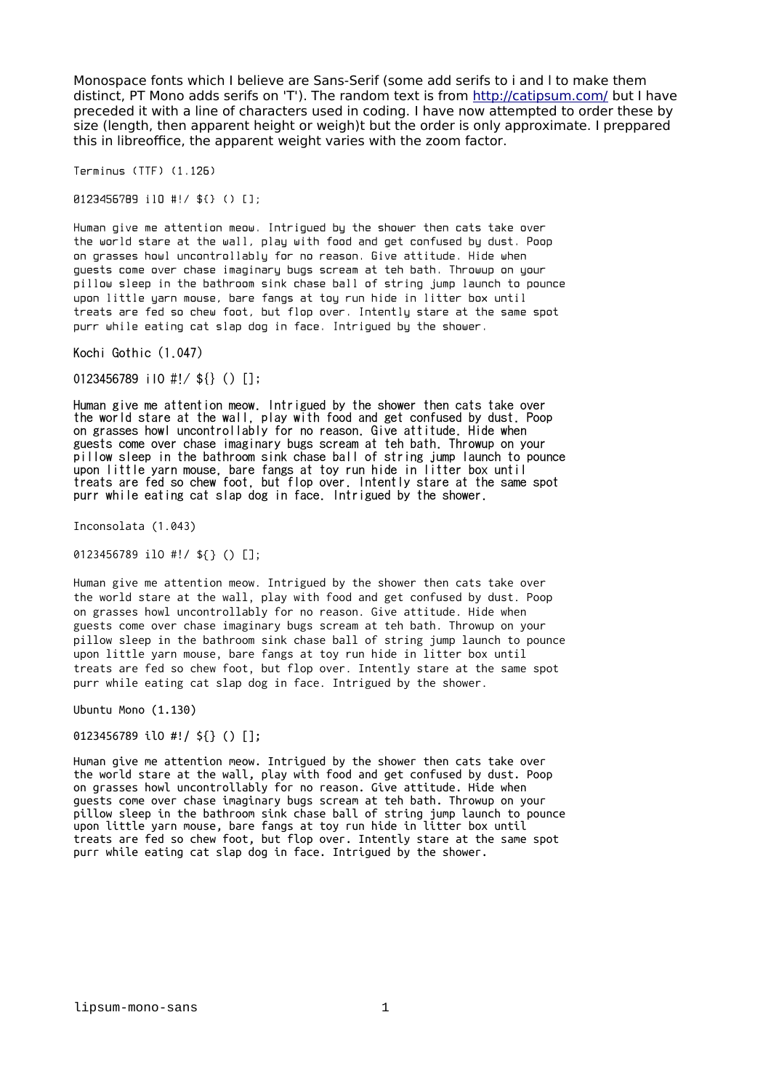Monospace fonts which I believe are Sans-Serif (some add serifs to i and l to make them distinct, PT Mono adds serifs on 'T'). The random text is from<http://catipsum.com/>but I have preceded it with a line of characters used in coding. I have now attempted to order these by size (length, then apparent height or weigh)t but the order is only approximate. I preppared this in libreoffice, the apparent weight varies with the zoom factor.

Terminus (TTF) (1.126)

0123456789 ilO #!/ \${} () [];

Human give me attention meow. Intrigued by the shower then cats take over the world stare at the wall, play with food and get confused by dust. Poop on grasses howl uncontrollably for no reason. Give attitude. Hide when guests come over chase imaginary bugs scream at teh bath. Throwup on your pillow sleep in the bathroom sink chase ball of string jump launch to pounce upon little yarn mouse, bare fangs at toy run hide in litter box until treats are fed so chew foot, but flop over. Intently stare at the same spot purr while eating cat slap dog in face. Intrigued by the shower.

Kochi Gothic (1.047)

0123456789 ilO #!/ \${} () [];

Human give me attention meow. Intrigued by the shower then cats take over the world stare at the wall, play with food and get confused by dust. Poop on grasses howl uncontrollably for no reason. Give attitude. Hide when guests come over chase imaginary bugs scream at teh bath. Throwup on your pillow sleep in the bathroom sink chase ball of string jump launch to pounce upon little yarn mouse, bare fangs at toy run hide in litter box until treats are fed so chew foot, but flop over. Intently stare at the same spot purr while eating cat slap dog in face. Intrigued by the shower.

Inconsolata (1.043)

0123456789 ilO #!/ \${} () [];

Human give me attention meow. Intrigued by the shower then cats take over the world stare at the wall, play with food and get confused by dust. Poop on grasses howl uncontrollably for no reason. Give attitude. Hide when guests come over chase imaginary bugs scream at teh bath. Throwup on your pillow sleep in the bathroom sink chase ball of string jump launch to pounce upon little yarn mouse, bare fangs at toy run hide in litter box until treats are fed so chew foot, but flop over. Intently stare at the same spot purr while eating cat slap dog in face. Intrigued by the shower.

Ubuntu Mono (1.130)

0123456789 ilO #!/ \${} () [];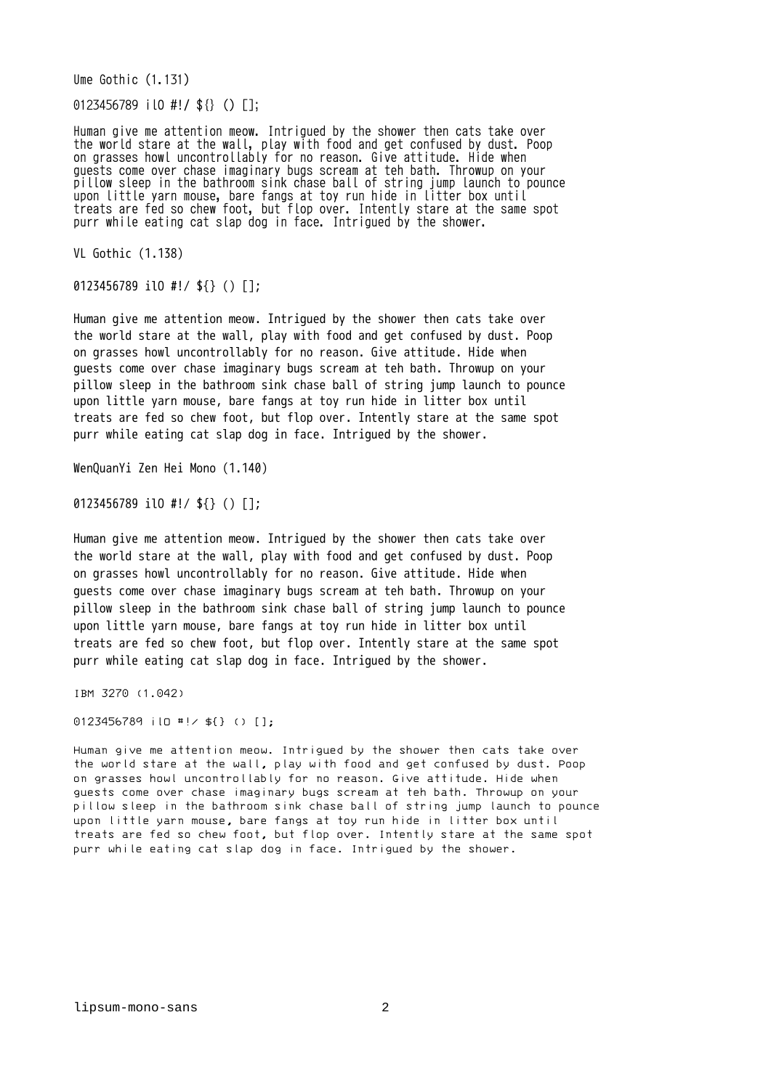Ume Gothic (1.131)

0123456789 ilO #!/ \${} () [];

Human give me attention meow. Intrigued by the shower then cats take over the world stare at the wall, play with food and get confused by dust. Poop on grasses howl uncontrollably for no reason. Give attitude. Hide when guests come over chase imaginary bugs scream at teh bath. Throwup on your pillow sleep in the bathroom sink chase ball of string jump launch to pounce upon little yarn mouse, bare fangs at toy run hide in litter box until treats are fed so chew foot, but flop over. Intently stare at the same spot purr while eating cat slap dog in face. Intrigued by the shower.

VL Gothic (1.138)

0123456789 ilO #!/ \${} () [];

Human give me attention meow. Intrigued by the shower then cats take over the world stare at the wall, play with food and get confused by dust. Poop on grasses howl uncontrollably for no reason. Give attitude. Hide when guests come over chase imaginary bugs scream at teh bath. Throwup on your pillow sleep in the bathroom sink chase ball of string jump launch to pounce upon little yarn mouse, bare fangs at toy run hide in litter box until treats are fed so chew foot, but flop over. Intently stare at the same spot purr while eating cat slap dog in face. Intrigued by the shower.

WenQuanYi Zen Hei Mono (1.140)

0123456789 ilO #!/ \${} () [];

Human give me attention meow. Intrigued by the shower then cats take over the world stare at the wall, play with food and get confused by dust. Poop on grasses howl uncontrollably for no reason. Give attitude. Hide when guests come over chase imaginary bugs scream at teh bath. Throwup on your pillow sleep in the bathroom sink chase ball of string jump launch to pounce upon little yarn mouse, bare fangs at toy run hide in litter box until treats are fed so chew foot, but flop over. Intently stare at the same spot purr while eating cat slap dog in face. Intrigued by the shower.

IBM 3270 (1.042)

0123456789 ilO #!/ \${} () [];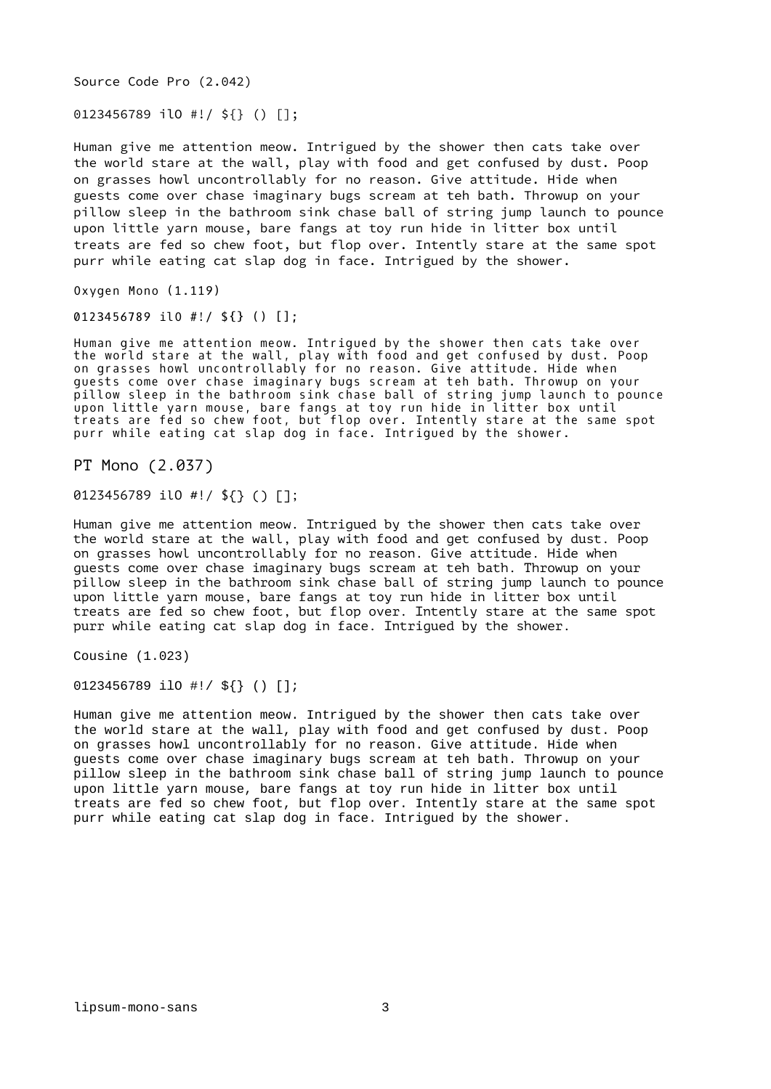Source Code Pro (2.042)

0123456789 ilO #!/ \${} () [];

Human give me attention meow. Intrigued by the shower then cats take over the world stare at the wall, play with food and get confused by dust. Poop on grasses howl uncontrollably for no reason. Give attitude. Hide when guests come over chase imaginary bugs scream at teh bath. Throwup on your pillow sleep in the bathroom sink chase ball of string jump launch to pounce upon little yarn mouse, bare fangs at toy run hide in litter box until treats are fed so chew foot, but flop over. Intently stare at the same spot purr while eating cat slap dog in face. Intrigued by the shower.

Oxygen Mono (1.119)

0123456789 ilO #!/ \${} () [];

Human give me attention meow. Intrigued by the shower then cats take over the world stare at the wall, play with food and get confused by dust. Poop on grasses howl uncontrollably for no reason. Give attitude. Hide when guests come over chase imaginary bugs scream at teh bath. Throwup on your pillow sleep in the bathroom sink chase ball of string jump launch to pounce upon little yarn mouse, bare fangs at toy run hide in litter box until treats are fed so chew foot, but flop over. Intently stare at the same spot purr while eating cat slap dog in face. Intrigued by the shower.

PT Mono (2.037)

0123456789 ilO #!/ \${} () [];

Human give me attention meow. Intrigued by the shower then cats take over the world stare at the wall, play with food and get confused by dust. Poop on grasses howl uncontrollably for no reason. Give attitude. Hide when guests come over chase imaginary bugs scream at teh bath. Throwup on your pillow sleep in the bathroom sink chase ball of string jump launch to pounce upon little yarn mouse, bare fangs at toy run hide in litter box until treats are fed so chew foot, but flop over. Intently stare at the same spot purr while eating cat slap dog in face. Intrigued by the shower.

Cousine (1.023)

0123456789 ilO #!/ \${} () [];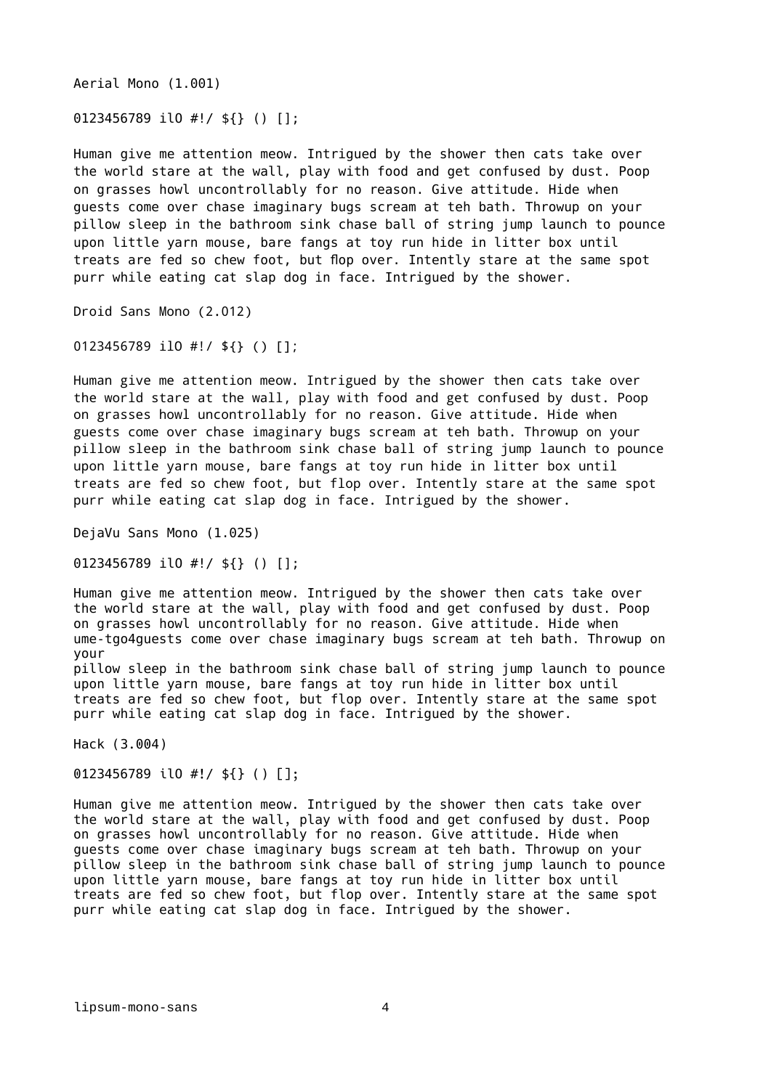Aerial Mono (1.001)

0123456789 ilO #!/ \${} () [];

Human give me attention meow. Intrigued by the shower then cats take over the world stare at the wall, play with food and get confused by dust. Poop on grasses howl uncontrollably for no reason. Give attitude. Hide when guests come over chase imaginary bugs scream at teh bath. Throwup on your pillow sleep in the bathroom sink chase ball of string jump launch to pounce upon little yarn mouse, bare fangs at toy run hide in litter box until treats are fed so chew foot, but flop over. Intently stare at the same spot purr while eating cat slap dog in face. Intrigued by the shower.

Droid Sans Mono (2.012)

0123456789 ilO #!/ \${} () [];

Human give me attention meow. Intrigued by the shower then cats take over the world stare at the wall, play with food and get confused by dust. Poop on grasses howl uncontrollably for no reason. Give attitude. Hide when guests come over chase imaginary bugs scream at teh bath. Throwup on your pillow sleep in the bathroom sink chase ball of string jump launch to pounce upon little yarn mouse, bare fangs at toy run hide in litter box until treats are fed so chew foot, but flop over. Intently stare at the same spot purr while eating cat slap dog in face. Intrigued by the shower.

DejaVu Sans Mono (1.025)

0123456789 ilO #!/ \${} () [];

Human give me attention meow. Intrigued by the shower then cats take over the world stare at the wall, play with food and get confused by dust. Poop on grasses howl uncontrollably for no reason. Give attitude. Hide when ume-tgo4guests come over chase imaginary bugs scream at teh bath. Throwup on your

pillow sleep in the bathroom sink chase ball of string jump launch to pounce upon little yarn mouse, bare fangs at toy run hide in litter box until treats are fed so chew foot, but flop over. Intently stare at the same spot purr while eating cat slap dog in face. Intrigued by the shower.

Hack (3.004)

0123456789 ilO #!/ \${} () [];